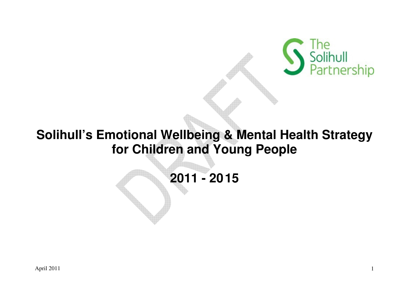

# **Solihull's Emotional Wellbeing & Mental Health Strategy for Children and Young People**

**2011 - 2015**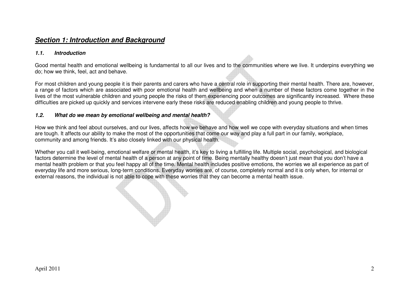# **Section 1: Introduction and Background**

#### **1.1. Introduction**

Good mental health and emotional wellbeing is fundamental to all our lives and to the communities where we live. It underpins everything we do; how we think, feel, act and behave.

For most children and young people it is their parents and carers who have a central role in supporting their mental health. There are, however, a range of factors which are associated with poor emotional health and wellbeing and when a number of these factors come together in the lives of the most vulnerable children and young people the risks of them experiencing poor outcomes are significantly increased. Where these difficulties are picked up quickly and services intervene early these risks are reduced enabling children and young people to thrive.

#### **1.2. What do we mean by emotional wellbeing and mental health?**

How we think and feel about ourselves, and our lives, affects how we behave and how well we cope with everyday situations and when times are tough. It affects our ability to make the most of the opportunities that come our way and play a full part in our family, workplace, community and among friends. It's also closely linked with our physical health.

Whether you call it well-being, emotional welfare or mental health, it's key to living a fulfilling life. Multiple social, psychological, and biological factors determine the level of mental health of a person at any point of time. Being mentally healthy doesn't just mean that you don't have a mental health problem or that you feel happy all of the time. Mental health includes positive emotions, the worries we all experience as part of everyday life and more serious, long-term conditions. Everyday worries are, of course, completely normal and it is only when, for internal or external reasons, the individual is not able to cope with these worries that they can become a mental health issue.

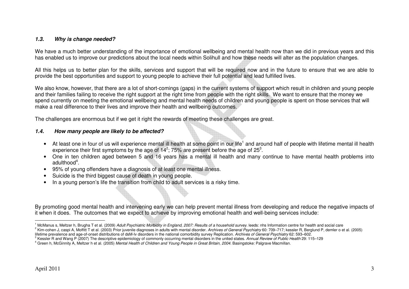#### **1.3. Why is change needed?**

We have a much better understanding of the importance of emotional wellbeing and mental health now than we did in previous years and this has enabled us to improve our predictions about the local needs within Solihull and how these needs will alter as the population changes.

All this helps us to better plan for the skills, services and support that will be required now and in the future to ensure that we are able to provide the best opportunities and support to young people to achieve their full potential and lead fulfilled lives.

We also know, however, that there are a lot of short-comings (gaps) in the current systems of support which result in children and young people and their families failing to receive the right support at the right time from people with the right skills. We want to ensure that the money we spend currently on meeting the emotional wellbeing and mental health needs of children and young people is spent on those services that will make a real difference to their lives and improve their health and wellbeing outcomes.

The challenges are enormous but if we get it right the rewards of meeting these challenges are great.

#### **1.4. How many people are likely to be affected?**

- At least one in four of us will experience mental ill health at some point in our life<sup>1</sup> and around half of people with lifetime mental ill health experience their first symptoms by the age of  $14^2$ ; 75% are present before the age of  $25^3$ .
- One in ten children aged between 5 and 16 years has a mental ill health and many continue to have mental health problems into adulthood $4<sup>4</sup>$ .
- 95% of young offenders have a diagnosis of at least one mental illness.
- Suicide is the third biggest cause of death in young people.
- In a young person's life the transition from child to adult services is a risky time.

By promoting good mental health and intervening early we can help prevent mental illness from developing and reduce the negative impacts of it when it does. The outcomes that we expect to achieve by improving emotional health and well-being services include:

<sup>&</sup>lt;sup>1</sup> McManus s, Meltzer h, Brugha T et al. (2009) Adult Psychiatric Morbidity in England, 2007: Results of a household survey. leeds: nhs Information centre for health and social care<br><sup>2</sup> Kim-cohen J. caspi A. Moffitt T et

lifetime prevalence and age-of-onset distributions of dsM-Iv disorders in the national comorbidity survey Replication. Archives of General Psychiatry 62: 593–602.<br><sup>3</sup> Kessler R and Wang P (2007) The descriptive epidemiolog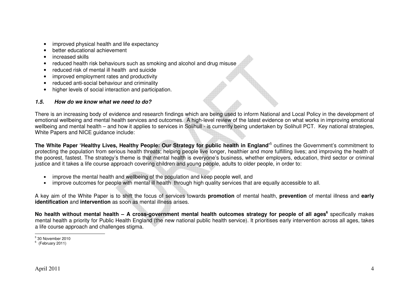- improved physical health and life expectancy
- better educational achievement
- increased skills
- reduced health risk behaviours such as smoking and alcohol and drug misuse
- reduced risk of mental ill health and suicide
- improved employment rates and productivity
- reduced anti-social behaviour and criminality
- higher levels of social interaction and participation.

# **1.5. How do we know what we need to do?**

There is an increasing body of evidence and research findings which are being used to inform National and Local Policy in the development of emotional wellbeing and mental health services and outcomes. A high-level review of the latest evidence on what works in improving emotional wellbeing and mental health – and how it applies to services in Solihull - is currently being undertaken by Solihull PCT. Key national strategies, White Papers and NICE guidance include:

**The White Paper 'Healthy Lives, Healthy People: Our Strategy for public health in England'**<sup>5</sup> outlines the Government's commitment to protecting the population from serious health threats; helping people live longer, healthier and more fulfilling lives; and improving the health of the poorest, fastest. The strategy's theme is that mental health is everyone's business, whether employers, education, third sector or criminal justice and it takes a life course approach covering children and young people, adults to older people, in order to:

- improve the mental health and wellbeing of the population and keep people well, and
- •improve outcomes for people with mental ill health through high quality services that are equally accessible to all.

A key aim of the White Paper is to shift the focus of services towards **promotion** of mental health, **prevention** of mental illness and **earlyidentification** and **intervention** as soon as mental illness arises.

**No health without mental health – A cross-government mental health outcomes strategy for people of all ages<sup>6</sup>** specifically makes mental health a priority for Public Health England (the new national public health service). It prioritises early intervention across all ages, takes a life course approach and challenges stigma.

 $<sup>5</sup>$  30 November 2010</sup>

 $6$  (February 2011)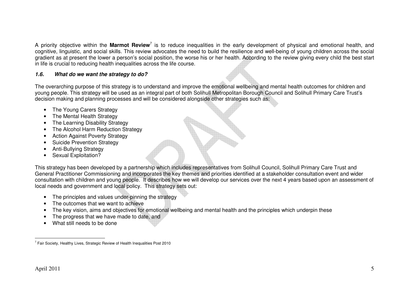A priority objective within the **Marmot Review**<sup>7</sup> is to reduce inequalities in the early development of physical and emotional health, and cognitive, linguistic, and social skills. This review advocates the need to build the resilience and well-being of young children across the social gradient as at present the lower a person's social position, the worse his or her health. According to the review giving every child the best start in life is crucial to reducing health inequalities across the life course.

## **1.6. What do we want the strategy to do?**

The overarching purpose of this strategy is to understand and improve the emotional wellbeing and mental health outcomes for children and young people. This strategy will be used as an integral part of both Solihull Metropolitan Borough Council and Solihull Primary Care Trust's decision making and planning processes and will be considered alongside other strategies such as:

- The Young Carers Strategy
- The Mental Health Strategy
- The Learning Disability Strategy
- The Alcohol Harm Reduction Strategy
- Action Against Poverty Strategy
- Suicide Prevention Strategy
- Anti-Bullying Strategy
- Sexual Exploitation?

This strategy has been developed by a partnership which includes representatives from Solihull Council, Solihull Primary Care Trust and General Practitioner Commissioning and incorporates the key themes and priorities identified at a stakeholder consultation event and wider consultation with children and young people. It describes how we will develop our services over the next 4 years based upon an assessment of local needs and government and local policy. This strategy sets out:

- The principles and values under-pinning the strategy
- The outcomes that we want to achieve
- The key vision, aims and objectives for emotional wellbeing and mental health and the principles which underpin these
- The progress that we have made to date, and
- What still needs to be done

 $7$  Fair Society, Healthy Lives, Strategic Review of Health Inequalities Post 2010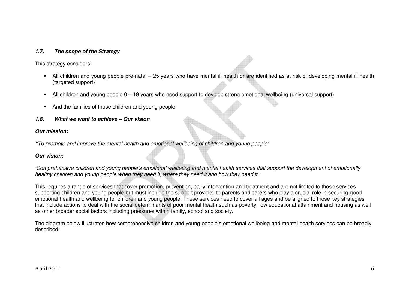#### **1.7. The scope of the Strategy**

This strategy considers:

- All children and young people pre-natal 25 years who have mental ill health or are identified as at risk of developing mental ill health (targeted support)
- All children and young people 0 19 years who need support to develop strong emotional wellbeing (universal support)
- And the families of those children and young people
- **1.8. What we want to achieve Our vision**

#### **Our mission:**

**'**'To promote and improve the mental health and emotional wellbeing of children and young people'

#### **Our vision:**

'Comprehensive children and young people's emotional wellbeing and mental health services that support the development of emotionally healthy children and young people when they need it, where they need it and how they need it.'

This requires a range of services that cover promotion, prevention, early intervention and treatment and are not limited to those services supporting children and young people but must include the support provided to parents and carers who play a crucial role in securing good emotional health and wellbeing for children and young people. These services need to cover all ages and be aligned to those key strategies that include actions to deal with the social determinants of poor mental health such as poverty, low educational attainment and housing as well as other broader social factors including pressures within family, school and society.

The diagram below illustrates how comprehensive children and young people's emotional wellbeing and mental health services can be broadly described: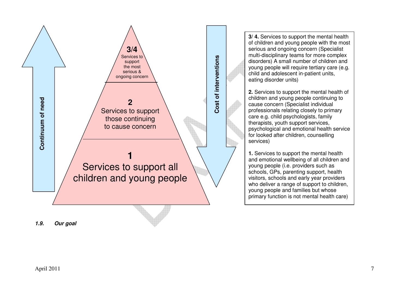

**3/ 4.** Services to support the mental health of children and young people with the most serious and ongoing concern (Specialist multi-disciplinary teams for more complex disorders) A small number of children and young people will require tertiary care (e.g. child and adolescent in-patient units, eating disorder units)

**2.** Services to support the mental health of children and young people continuing to cause concern (Specialist individual professionals relating closely to primary care e.g. child psychologists, family therapists, youth support services, psychological and emotional health service for looked after children, counselling services)

**1.** Services to support the mental health and emotional wellbeing of all children and young people (i.e. providers such as schools, GPs, parenting support, health visitors, schools and early year providers who deliver a range of support to children, young people and families but whose primary function is not mental health care)

**1.9. Our goal**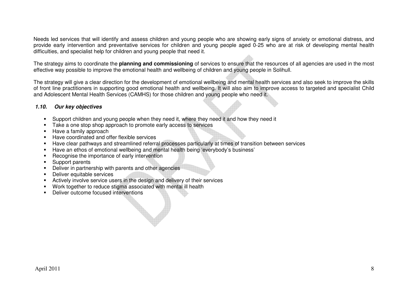Needs led services that will identify and assess children and young people who are showing early signs of anxiety or emotional distress, and provide early intervention and preventative services for children and young people aged 0-25 who are at risk of developing mental health difficulties, and specialist help for children and young people that need it.

The strategy aims to coordinate the **planning and commissioning** of services to ensure that the resources of all agencies are used in the most effective way possible to improve the emotional health and wellbeing of children and young people in Solihull.

The strategy will give a clear direction for the development of emotional wellbeing and mental health services and also seek to improve the skills of front line practitioners in supporting good emotional health and wellbeing. It will also aim to improve access to targeted and specialist Child and Adolescent Mental Health Services (CAMHS) for those children and young people who need it.

## **1.10. Our key objectives**

- Support children and young people when they need it, where they need it and how they need it
- Take a one stop shop approach to promote early access to services
- **Have a family approach**
- **Have coordinated and offer flexible services**
- Have clear pathways and streamlined referral processes particularly at times of transition between services
- Have an ethos of emotional wellbeing and mental health being 'everybody's business'
- **Recognise the importance of early intervention**
- **Support parents**
- **Deliver in partnership with parents and other agencies**
- Deliver equitable services
- Actively involve service users in the design and delivery of their services
- Work together to reduce stigma associated with mental ill health
- Deliver outcome focused interventions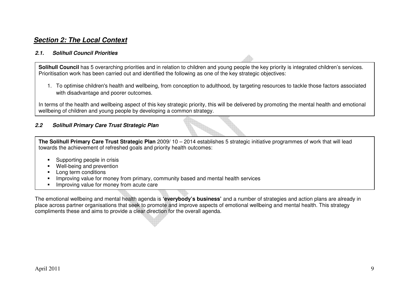# **Section 2: The Local Context**

#### **2.1. Solihull Council Priorities**

**Solihull Council** has 5 overarching priorities and in relation to children and young people the key priority is integrated children's services. Prioritisation work has been carried out and identified the following as one of the key strategic objectives:

1. To optimise children's health and wellbeing, from conception to adulthood, by targeting resources to tackle those factors associated with disadvantage and poorer outcomes.

In terms of the health and wellbeing aspect of this key strategic priority, this will be delivered by promoting the mental health and emotional wellbeing of children and young people by developing a common strategy.

#### **2.2 Solihull Primary Care Trust Strategic Plan**

**The Solihull Primary Care Trust Strategic Plan** 2009/ 10 – 2014 establishes 5 strategic initiative programmes of work that will lead towards the achievement of refreshed goals and priority health outcomes:

- Supporting people in crisis
- **Well-being and prevention**
- Long term conditions
- **Improving value for money from primary, community based and mental health services**
- **Improving value for money from acute care**

The emotional wellbeing and mental health agenda is **'everybody's business'** and a number of strategies and action plans are already in place across partner organisations that seek to promote and improve aspects of emotional wellbeing and mental health. This strategy compliments these and aims to provide a clear direction for the overall agenda.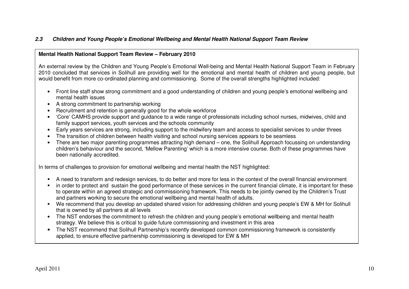## **2.3 Children and Young People's Emotional Wellbeing and Mental Health National Support Team Review**

#### **Mental Health National Support Team Review – February 2010**

An external review by the Children and Young People's Emotional Well-being and Mental Health National Support Team in February 2010 concluded that services in Solihull are providing well for the emotional and mental health of children and young people, but would benefit from more co-ordinated planning and commissioning. Some of the overall strengths highlighted included:

- Front line staff show strong commitment and a good understanding of children and young people's emotional wellbeing and mental health issues
- A strong commitment to partnership working
- Recruitment and retention is generally good for the whole workforce
- 'Core' CAMHS provide support and guidance to a wide range of professionals including school nurses, midwives, child and family support services, youth services and the schools community
- Early years services are strong, including support to the midwifery team and access to specialist services to under threes
- The transition of children between health visiting and school nursing services appears to be seamless
- There are two major parenting programmes attracting high demand one, the Solihull Approach focussing on understanding children's behaviour and the second, 'Mellow Parenting' which is a more intensive course. Both of these programmes have been nationally accredited.

In terms of challenges to provision for emotional wellbeing and mental health the NST highlighted:

- A need to transform and redesign services, to do better and more for less in the context of the overall financial environment
- in order to protect and sustain the good performance of these services in the current financial climate, it is important for these to operate within an agreed strategic and commissioning framework. This needs to be jointly owned by the Children's Trust and partners working to secure the emotional wellbeing and mental health of adults.
- We recommend that you develop an updated shared vision for addressing children and young people's EW & MH for Solihull that is owned by all partners at all levels
- The NST endorses the commitment to refresh the children and young people's emotional wellbeing and mental health strategy. We believe this is critical to guide future commissioning and investment in this area
- The NST recommend that Solihull Partnership's recently developed common commissioning framework is consistently applied, to ensure effective partnership commissioning is developed for EW & MH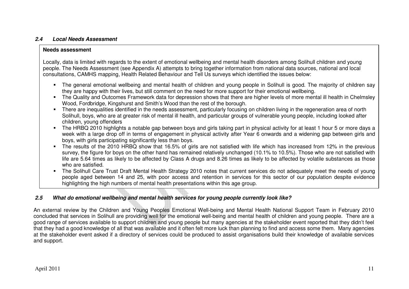#### **2.4 Local Needs Assessment**

#### **Needs assessment**

Locally, data is limited with regards to the extent of emotional wellbeing and mental health disorders among Solihull children and young people. The Needs Assessment (see Appendix A) attempts to bring together information from national data sources, national and local consultations, CAMHS mapping, Health Related Behaviour and Tell Us surveys which identified the issues below:

- The general emotional wellbeing and mental health of children and young people in Solihull is good. The majority of children say they are happy with their lives, but still comment on the need for more support for their emotional wellbeing.
- The Quality and Outcomes Framework data for depression shows that there are higher levels of more mental ill health in Chelmsley Wood, Fordbridge, Kingshurst and Smith's Wood than the rest of the borough.
- There are inequalities identified in the needs assessment, particularly focusing on children living in the regeneration area of north Solihull, boys, who are at greater risk of mental ill health, and particular groups of vulnerable young people, including looked after children, young offenders
- The HRBQ 2010 highlights a notable gap between boys and girls taking part in physical activity for at least 1 hour 5 or more days a week with a large drop off in terms of engagement in physical activity after Year 6 onwards and a widening gap between girls and boys, with girls participating significantly less than boys.
- The results of the 2010 HRBQ show that 16.5% of girls are not satisfied with life which has increased from 12% in the previous survey, the figure for boys on the other hand has remained relatively unchanged (10.1% to 10.5%). Those who are not satisfied with life are 5.64 times as likely to be affected by Class A drugs and 8.26 times as likely to be affected by volatile substances as those who are satisfied.
- The Solihull Care Trust Draft Mental Health Strategy 2010 notes that current services do not adequately meet the needs of young people aged between 14 and 25, with poor access and retention in services for this sector of our population despite evidence highlighting the high numbers of mental health presentations within this age group.

# **2.5 What do emotional wellbeing and mental health services for young people currently look like?**

An external review by the Children and Young Peoples Emotional Well-being and Mental Health National Support Team in February 2010 concluded that services in Solihull are providing well for the emotional well-being and mental health of children and young people. There are a good range of services available to support children and young people but many agencies at the stakeholder event reported that they didn't feel that they had a good knowledge of all that was available and it often felt more luck than planning to find and access some them. Many agencies at the stakeholder event asked if a directory of services could be produced to assist organisations build their knowledge of available services and support.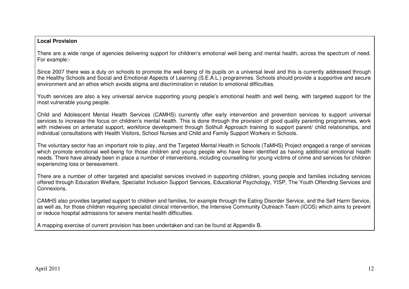#### **Local Provision**

There are a wide range of agencies delivering support for children's emotional well being and mental health, across the spectrum of need. For example:-

Since 2007 there was a duty on schools to promote the well-being of its pupils on a universal level and this is currently addressed through the Healthy Schools and Social and Emotional Aspects of Learning (S.E.A.L.) programmes. Schools should provide a supportive and secure environment and an ethos which avoids stigma and discrimination in relation to emotional difficulties.

Youth services are also a key universal service supporting young people's emotional health and well being, with targeted support for the most vulnerable young people.

Child and Adolescent Mental Health Services (CAMHS) currently offer early intervention and prevention services to support universal services to increase the focus on children's mental health. This is done through the provision of good quality parenting programmes, work with midwives on antenatal support, workforce development through Solihull Approach training to support parent/ child relationships, and individual consultations with Health Visitors, School Nurses and Child and Family Support Workers in Schools.

The voluntary sector has an important role to play, and the Targeted Mental Health in Schools (TaMHS) Project engaged a range of services which promote emotional well-being for those children and young people who have been identified as having additional emotional health needs. There have already been in place a number of interventions, including counselling for young victims of crime and services for children experiencing loss or bereavement.

There are a number of other targeted and specialist services involved in supporting children, young people and families including services offered through Education Welfare, Specialist Inclusion Support Services, Educational Psychology, YISP, The Youth Offending Services and Connexions.

CAMHS also provides targeted support to children and families, for example through the Eating Disorder Service, and the Self Harm Service, as well as, for those children requiring specialist clinical intervention, the Intensive Community Outreach Team (ICOS) which aims to prevent or reduce hospital admissions for severe mental health difficulties.

A mapping exercise of current provision has been undertaken and can be found at Appendix B.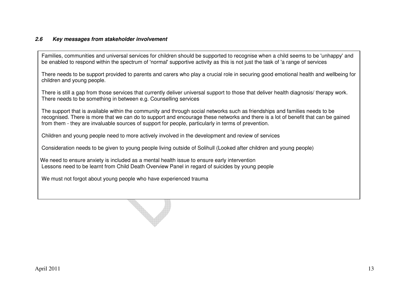#### **2.6 Key messages from stakeholder involvement**

Families, communities and universal services for children should be supported to recognise when a child seems to be 'unhappy' and be enabled to respond within the spectrum of 'normal' supportive activity as this is not just the task of 'a range of services

There needs to be support provided to parents and carers who play a crucial role in securing good emotional health and wellbeing for children and young people.

There is still a gap from those services that currently deliver universal support to those that deliver health diagnosis/ therapy work. There needs to be something in between e.g. Counselling services

The support that is available within the community and through social networks such as friendships and families needs to be recognised. There is more that we can do to support and encourage these networks and there is a lot of benefit that can be gained from them - they are invaluable sources of support for people, particularly in terms of prevention.

Children and young people need to more actively involved in the development and review of services

Consideration needs to be given to young people living outside of Solihull (Looked after children and young people)

We need to ensure anxiety is included as a mental health issue to ensure early intervention Lessons need to be learnt from Child Death Overview Panel in regard of suicides by young people

We must not forgot about young people who have experienced trauma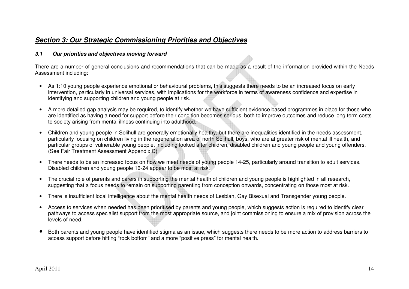# **Section 3: Our Strategic Commissioning Priorities and Objectives**

## **3.1 Our priorities and objectives moving forward**

There are a number of general conclusions and recommendations that can be made as a result of the information provided within the Needs Assessment including:

- As 1:10 young people experience emotional or behavioural problems, this suggests there needs to be an increased focus on early intervention, particularly in universal services, with implications for the workforce in terms of awareness confidence and expertise in identifying and supporting children and young people at risk.
- A more detailed gap analysis may be required, to identify whether we have sufficient evidence based programmes in place for those who are identified as having a need for support before their condition becomes serious, both to improve outcomes and reduce long term costs to society arising from mental illness continuing into adulthood.
- Children and young people in Solihull are generally emotionally healthy, but there are inequalities identified in the needs assessment, particularly focusing on children living in the regeneration area of north Solihull, boys, who are at greater risk of mental ill health, and particular groups of vulnerable young people, including looked after children, disabled children and young people and young offenders. (See Fair Treatment Assessment Appendix C)
- There needs to be an increased focus on how we meet needs of young people 14-25, particularly around transition to adult services. Disabled children and young people 16-24 appear to be most at risk.
- The crucial role of parents and carers in supporting the mental health of children and young people is highlighted in all research, suggesting that a focus needs to remain on supporting parenting from conception onwards, concentrating on those most at risk.
- There is insufficient local intelligence about the mental health needs of Lesbian, Gay Bisexual and Transgender young people.
- Access to services when needed has been prioritised by parents and young people, which suggests action is required to identify clear pathways to access specialist support from the most appropriate source, and joint commissioning to ensure a mix of provision across the levels of need.
- • Both parents and young people have identified stigma as an issue, which suggests there needs to be more action to address barriers to access support before hitting "rock bottom" and a more "positive press" for mental health.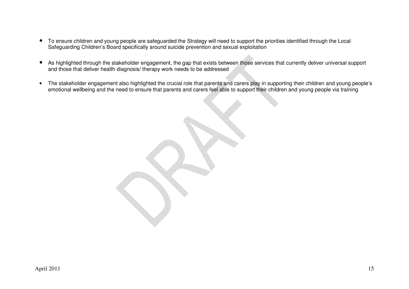- To ensure children and young people are safeguarded the Strategy will need to support the priorities identified through the Local Safeguarding Children's Board specifically around suicide prevention and sexual exploitation
- $\bullet$  As highlighted through the stakeholder engagement, the gap that exists between those services that currently deliver universal support and those that deliver health diagnosis/ therapy work needs to be addressed
- The stakeholder engagement also highlighted the crucial role that parents and carers play in supporting their children and young people's emotional wellbeing and the need to ensure that parents and carers feel able to support their children and young people via training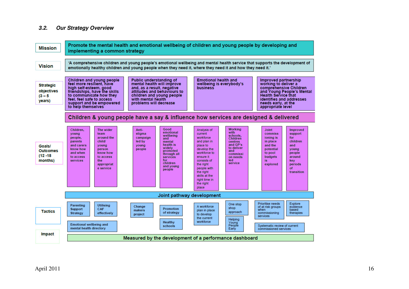#### **3.2. Our Strategy Overview**

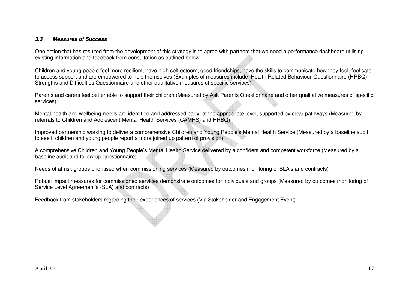#### **3.3 Measures of Success**

One action that has resulted from the development of this strategy is to agree with partners that we need a performance dashboard utilising existing information and feedback from consultation as outlined below.

Children and young people feel more resilient, have high self esteem, good friendships, have the skills to communicate how they feel, feel safe to access support and are empowered to help themselves (Examples of measures include Health Related Behaviour Questionnaire (HRBQ), Strengths and Difficulties Questionnaire and other qualitative measures of specific services)

Parents and carers feel better able to support their children (Measured by Ask Parents Questionnaire and other qualitative measures of specific services)

Mental health and wellbeing needs are identified and addressed early, at the appropriate level, supported by clear pathways (Measured by referrals to Children and Adolescent Mental Health Services (CAMHS) and HRBQ)

Improved partnership working to deliver a comprehensive Children and Young People's Mental Health Service (Measured by a baseline audit to see if children and young people report a more joined up pattern of provision)

A comprehensive Children and Young People's Mental Health Service delivered by a confident and competent workforce (Measured by a baseline audit and follow-up questionnaire)

Needs of at risk groups prioritised when commissioning services (Measured by outcomes monitoring of SLA's and contracts)

Robust impact measures for commissioned services demonstrate outcomes for individuals and groups (Measured by outcomes monitoring of Service Level Agreement's (SLA) and contracts)

Feedback from stakeholders regarding their experiences of services (Via Stakeholder and Engagement Event)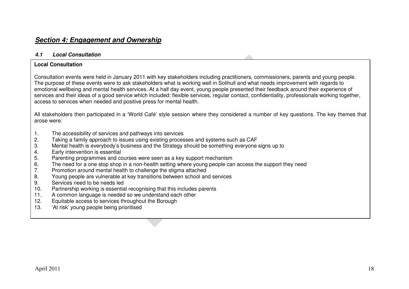## **4.1 Local Consultation**

## **Local Consultation**

Consultation events were held in January 2011 with key stakeholders including practitioners, commissioners, parents and young people. The purpose of these events were to ask stakeholders what is working well in Solihull and what needs improvement with regards to emotional wellbeing and mental health services. At a half day event, young people presented their feedback around their experience of services and their ideas of a good service which included: flexible services, regular contact, confidentiality, professionals working together, access to services when needed and positive press for mental health.

All stakeholders then participated in a 'World Café' style session where they considered a number of key questions. The key themes that arose were:

- 1. The accessibility of services and pathways into services
- 2. Taking a family approach to issues using existing processes and systems such as CAF
- 3. Mental health is everybody's business and the Strategy should be something everyone signs up to
- 4. Early intervention is essential
- 5. Parenting programmes and courses were seen as a key support mechanism
- 6. The need for a one stop shop in a non-health setting where young people can access the support they need
- 7. Promotion around mental health to challenge the stigma attached
- 8. Young people are vulnerable at key transitions between school and services
- 9. Services need to be needs led
- 10. Partnership working is essential recognising that this includes parents
- 11. A common language is needed so we understand each other
- 12. Equitable access to services throughout the Borough
- 13. 'At risk' young people being prioritised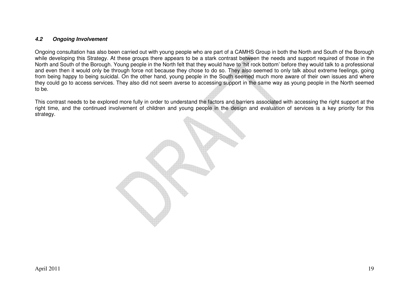#### **4.2 Ongoing Involvement**

Ongoing consultation has also been carried out with young people who are part of a CAMHS Group in both the North and South of the Borough while developing this Strategy. At these groups there appears to be a stark contrast between the needs and support required of those in the North and South of the Borough. Young people in the North felt that they would have to 'hit rock bottom' before they would talk to a professional and even then it would only be through force not because they chose to do so. They also seemed to only talk about extreme feelings, going from being happy to being suicidal. On the other hand, young people in the South seemed much more aware of their own issues and where they could go to access services. They also did not seem averse to accessing support in the same way as young people in the North seemed to be.

This contrast needs to be explored more fully in order to understand the factors and barriers associated with accessing the right support at the right time, and the continued involvement of children and young people in the design and evaluation of services is a key priority for this strategy.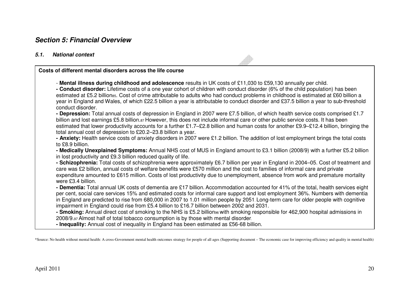# **Section 5: Financial Overview**

# **5.1. National context**

| Costs of different mental disorders across the life course                                                                                                                                                                                                                                                                                                                                                                                                                                                                                                                                                                                                                                                                                                                                                                                                                                                                                                                                                                                                                                                                                                                                                                                                                                                                                                                                                                                                                                                                                                                                                                                                                                                                                                                                                                     |
|--------------------------------------------------------------------------------------------------------------------------------------------------------------------------------------------------------------------------------------------------------------------------------------------------------------------------------------------------------------------------------------------------------------------------------------------------------------------------------------------------------------------------------------------------------------------------------------------------------------------------------------------------------------------------------------------------------------------------------------------------------------------------------------------------------------------------------------------------------------------------------------------------------------------------------------------------------------------------------------------------------------------------------------------------------------------------------------------------------------------------------------------------------------------------------------------------------------------------------------------------------------------------------------------------------------------------------------------------------------------------------------------------------------------------------------------------------------------------------------------------------------------------------------------------------------------------------------------------------------------------------------------------------------------------------------------------------------------------------------------------------------------------------------------------------------------------------|
| - Mental illness during childhood and adolescence results in UK costs of £11,030 to £59,130 annually per child.<br>- Conduct disorder: Lifetime costs of a one year cohort of children with conduct disorder (6% of the child population) has been<br>estimated at £5.2 billionss. Cost of crime attributable to adults who had conduct problems in childhood is estimated at £60 billion a<br>year in England and Wales, of which £22.5 billion a year is attributable to conduct disorder and £37.5 billion a year to sub-threshold<br>conduct disorder.<br>- Depression: Total annual costs of depression in England in 2007 were £7.5 billion, of which health service costs comprised £1.7<br>billion and lost earnings £5.8 billion.87 However, this does not include informal care or other public service costs. It has been<br>estimated that lower productivity accounts for a further £1.7–£2.8 billion and human costs for another £9.9–£12.4 billion, bringing the<br>total annual cost of depression to £20.2-23.8 billion a year.<br>- Anxiety: Health service costs of anxiety disorders in 2007 were £1.2 billion. The addition of lost employment brings the total costs<br>to £8.9 billion.<br>- Medically Unexplained Symptoms: Annual NHS cost of MUS in England amount to £3.1 billion (2008/9) with a further £5.2 billion<br>in lost productivity and £9.3 billion reduced quality of life.<br>- Schizophrenia: Total costs of schizophrenia were approximately £6.7 billion per year in England in 2004-05. Cost of treatment and<br>care was £2 billion, annual costs of welfare benefits were £570 million and the cost to families of informal care and private<br>expenditure amounted to £615 million. Costs of lost productivity due to unemployment, absence from work and premature mortality |
| were £3.4 billion.<br>- Dementia: Total annual UK costs of dementia are £17 billion. Accommodation accounted for 41% of the total, health services eight<br>per cent, social care services 15% and estimated costs for informal care support and lost employment 36%. Numbers with dementia<br>in England are predicted to rise from 680,000 in 2007 to 1.01 million people by 2051. Long-term care for older people with cognitive<br>impairment in England could rise from £5.4 billion to £16.7 billion between 2002 and 2031.<br>- Smoking: Annual direct cost of smoking to the NHS is £5.2 billion <sub>96</sub> with smoking responsible for 462,900 hospital admissions in<br>2008/9.97 Almost half of total tobacco consumption is by those with mental disorder.<br>- Inequality: Annual cost of inequality in England has been estimated as £56-68 billion.                                                                                                                                                                                                                                                                                                                                                                                                                                                                                                                                                                                                                                                                                                                                                                                                                                                                                                                                                         |

 $\sqrt{2}$ 

\*Source: No health without mental health: A cross-Government mental health outcomes strategy for people of all ages (Supporting document – The economic case for improving efficiency and quality in mental health)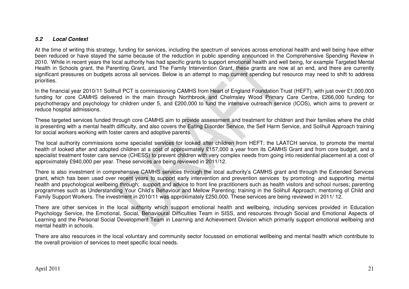#### **5.2 Local Context**

At the time of writing this strategy, funding for services, including the spectrum of services across emotional health and well being have either been reduced or have stayed the same because of the reduction in public spending announced in the Comprehensive Spending Review in 2010. While in recent years the local authority has had specific grants to support emotional health and well being, for example Targeted Mental Health in Schools grant, the Parenting Grant, and The Family Intervention Grant, these grants are now at an end, and there are currently significant pressures on budgets across all services. Below is an attempt to map current spending but resource may need to shift to address priorities.

In the financial year 2010/11 Solihull PCT is commissioning CAMHS from Heart of England Foundation Trust (HEFT), with just over £1,000,000 funding for core CAMHS delivered in the main through Northbrook and Chelmsley Wood Primary Care Centre, £266,000 funding for psychotherapy and psychology for children under 5, and £200,000 to fund the intensive outreach service (ICOS), which aims to prevent or reduce hospital admissions.

These targeted services funded through core CAMHS aim to provide assessment and treatment for children and their families where the child is presenting with a mental health difficulty, and also covers the Eating Disorder Service, the Self Harm Service, and Solihull Approach training for social workers working with foster carers and adoptive parents.

The local authority commissions some specialist services for looked after children from HEFT; the LAATCH service, to promote the mental health of looked after and adopted children at a cost of approximately £157,000 a year from its CAMHS Grant and from core budget, and a specialist treatment foster care service (CHESS) to prevent children with very complex needs from going into residential placement at a cost of approximately £940,000 per year. These services are being reviewed in 2011/12.

There is also investment in comprehensive CAMHS services through the local authority's CAMHS grant and through the Extended Services grant, which has been used over recent years to support early intervention and prevention services by promoting and supporting mental health and psychological wellbeing through; support and advice to front line practitioners such as health visitors and school nurses; parenting programmes such as Understanding Your Child's Behaviour and Mellow Parenting; training in the Solihull Approach; mentoring of Child and Family Support Workers. The investment in 2010/11 was approximately £250,000. These services are being reviewed in 2011/ 12.

There are other services in the local authority which support emotional health and wellbeing, including services provided in Education Psychology Service, the Emotional, Social, Behavioural Difficulties Team in SISS, and resources through Social and Emotional Aspects of Learning and the Personal Social Development Team in Learning and Achievement Division which primarily support emotional wellbeing and mental health in schools.

There are also resources in the local voluntary and community sector focussed on emotional wellbeing and mental health which contribute to the overall provision of services to meet specific local needs.